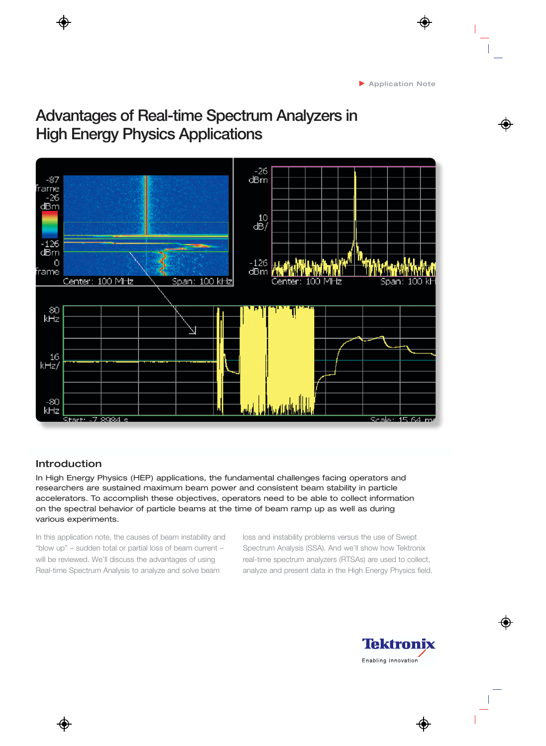# **Advantages of Real-time Spectrum Analyzers in High Energy Physics Applications**



# Introduction

In High Energy Physics (HEP) applications, the fundamental challenges facing operators and researchers are sustained maximum beam power and consistent beam stability in particle accelerators. To accomplish these objectives, operators need to be able to collect information on the spectral behavior of particle beams at the time of beam ramp up as well as during various experiments.

In this application note, the causes of beam instability and "blow up" – sudden total or partial loss of beam current – will be reviewed. We'll discuss the advantages of using Real-time Spectrum Analysis to analyze and solve beam

loss and instability problems versus the use of Swept Spectrum Analysis (SSA). And we'll show how Tektronix real-time spectrum analyzers (RTSAs) are used to collect, analyze and present data in the High Energy Physics field.

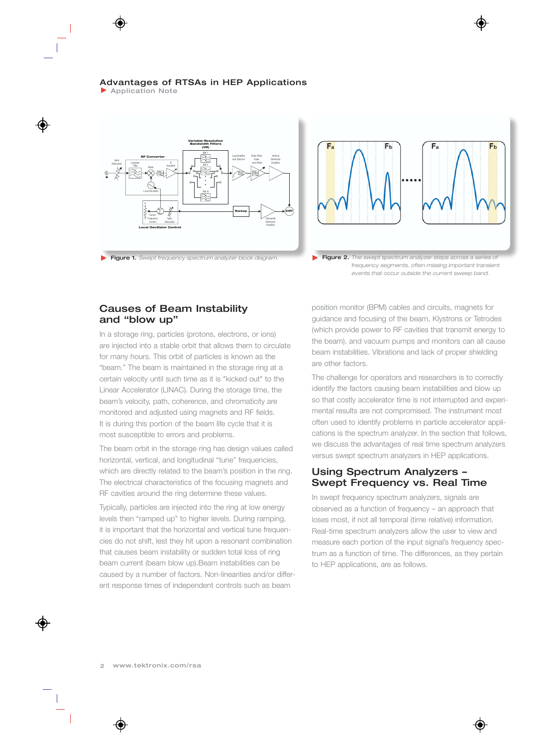**Application Note** 







## Causes of Beam Instability and "blow up"

In a storage ring, particles (protons, electrons, or ions) are injected into a stable orbit that allows them to circulate for many hours. This orbit of particles is known as the "beam." The beam is maintained in the storage ring at a certain velocity until such time as it is "kicked out" to the Linear Accelerator (LINAC). During the storage time, the beam's velocity, path, coherence, and chromaticity are monitored and adjusted using magnets and RF fields. It is during this portion of the beam life cycle that it is most susceptible to errors and problems.

The beam orbit in the storage ring has design values called horizontal, vertical, and longitudinal "tune" frequencies, which are directly related to the beam's position in the ring. The electrical characteristics of the focusing magnets and RF cavities around the ring determine these values.

Typically, particles are injected into the ring at low energy levels then "ramped up" to higher levels. During ramping, it is important that the horizontal and vertical tune frequencies do not shift, lest they hit upon a resonant combination that causes beam instability or sudden total loss of ring beam current (beam blow up).Beam instabilities can be caused by a number of factors. Non-linearities and/or different response times of independent controls such as beam

position monitor (BPM) cables and circuits, magnets for guidance and focusing of the beam, Klystrons or Tetrodes (which provide power to RF cavities that transmit energy to the beam), and vacuum pumps and monitors can all cause beam instabilities. Vibrations and lack of proper shielding are other factors.

The challenge for operators and researchers is to correctly identify the factors causing beam instabilities and blow up so that costly accelerator time is not interrupted and experimental results are not compromised. The instrument most often used to identify problems in particle accelerator applications is the spectrum analyzer. In the section that follows, we discuss the advantages of real time spectrum analyzers versus swept spectrum analyzers in HEP applications.

## Using Spectrum Analyzers – Swept Frequency vs. Real Time

In swept frequency spectrum analyzers, signals are observed as a function of frequency – an approach that loses most, if not all temporal (time relative) information. Real-time spectrum analyzers allow the user to view and measure each portion of the input signal's frequency spectrum as a function of time. The differences, as they pertain to HEP applications, are as follows.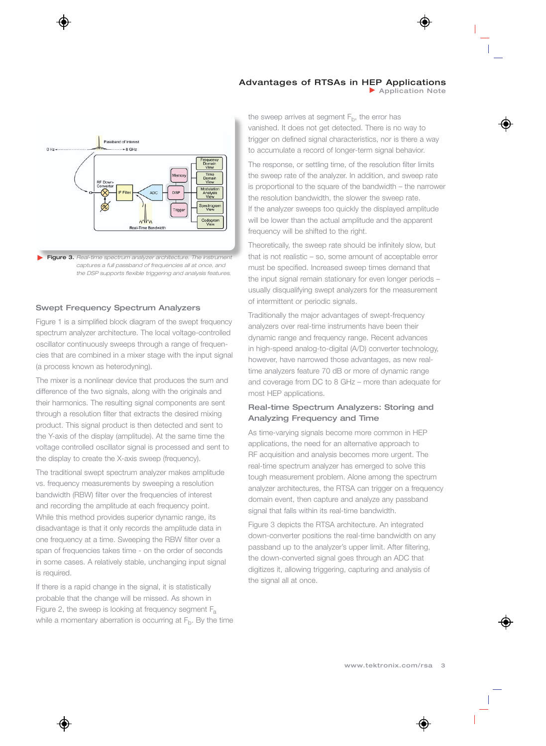Application Note



#### Swept Frequency Spectrum Analyzers

Figure 1 is a simplified block diagram of the swept frequency spectrum analyzer architecture. The local voltage-controlled oscillator continuously sweeps through a range of frequencies that are combined in a mixer stage with the input signal (a process known as heterodyning).

The mixer is a nonlinear device that produces the sum and difference of the two signals, along with the originals and their harmonics. The resulting signal components are sent through a resolution filter that extracts the desired mixing product. This signal product is then detected and sent to the Y-axis of the display (amplitude). At the same time the voltage controlled oscillator signal is processed and sent to the display to create the X-axis sweep (frequency).

The traditional swept spectrum analyzer makes amplitude vs. frequency measurements by sweeping a resolution bandwidth (RBW) filter over the frequencies of interest and recording the amplitude at each frequency point. While this method provides superior dynamic range, its disadvantage is that it only records the amplitude data in one frequency at a time. Sweeping the RBW filter over a span of frequencies takes time - on the order of seconds in some cases. A relatively stable, unchanging input signal is required.

If there is a rapid change in the signal, it is statistically probable that the change will be missed. As shown in Figure 2, the sweep is looking at frequency segment  $F_a$ while a momentary aberration is occurring at  $F<sub>b</sub>$ . By the time the sweep arrives at segment  $F<sub>b</sub>$ , the error has vanished. It does not get detected. There is no way to trigger on defined signal characteristics, nor is there a way to accumulate a record of longer-term signal behavior.

The response, or settling time, of the resolution filter limits the sweep rate of the analyzer. In addition, and sweep rate is proportional to the square of the bandwidth – the narrower the resolution bandwidth, the slower the sweep rate. If the analyzer sweeps too quickly the displayed amplitude will be lower than the actual amplitude and the apparent frequency will be shifted to the right.

Theoretically, the sweep rate should be infinitely slow, but that is not realistic – so, some amount of acceptable error must be specified. Increased sweep times demand that the input signal remain stationary for even longer periods – usually disqualifying swept analyzers for the measurement of intermittent or periodic signals.

Traditionally the major advantages of swept-frequency analyzers over real-time instruments have been their dynamic range and frequency range. Recent advances in high-speed analog-to-digital (A/D) converter technology, however, have narrowed those advantages, as new realtime analyzers feature 70 dB or more of dynamic range and coverage from DC to 8 GHz – more than adequate for most HEP applications.

### Real-time Spectrum Analyzers: Storing and Analyzing Frequency and Time

As time-varying signals become more common in HEP applications, the need for an alternative approach to RF acquisition and analysis becomes more urgent. The real-time spectrum analyzer has emerged to solve this tough measurement problem. Alone among the spectrum analyzer architectures, the RTSA can trigger on a frequency domain event, then capture and analyze any passband signal that falls within its real-time bandwidth.

Figure 3 depicts the RTSA architecture. An integrated down-converter positions the real-time bandwidth on any passband up to the analyzer's upper limit. After filtering, the down-converted signal goes through an ADC that digitizes it, allowing triggering, capturing and analysis of the signal all at once.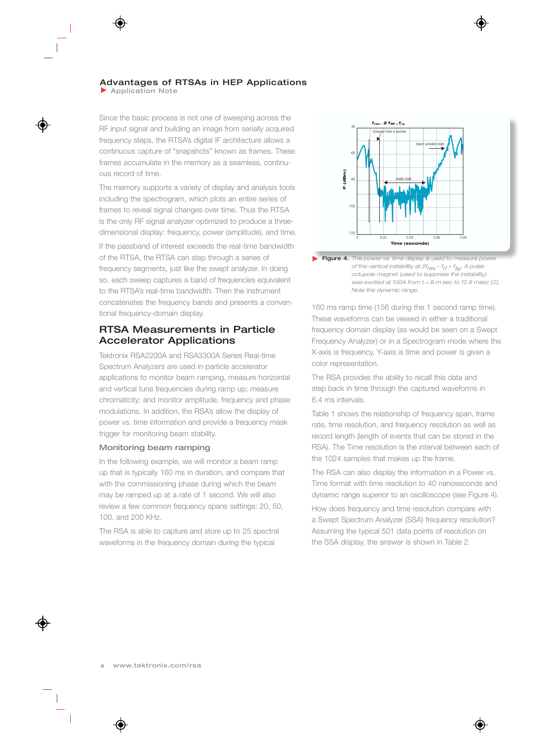**Application Note** 

Since the basic process is not one of sweeping across the RF input signal and building an image from serially acquired frequency steps, the RTSA's digital IF architecture allows a continuous capture of "snapshots" known as frames. These frames accumulate in the memory as a seamless, continuous record of time.

The memory supports a variety of display and analysis tools including the spectrogram, which plots an entire series of frames to reveal signal changes over time. Thus the RTSA is the only RF signal analyzer optimized to produce a threedimensional display: frequency, power (amplitude), and time.

If the passband of interest exceeds the real-time bandwidth of the RTSA, the RTSA can step through a series of frequency segments, just like the swept analyzer. In doing so, each sweep captures a band of frequencies equivalent to the RTSA's real-time bandwidth. Then the instrument concatenates the frequency bands and presents a conventional frequency-domain display.

## RTSA Measurements in Particle Accelerator Applications

Tektronix RSA2200A and RSA3300A Series Real-time Spectrum Analyzers are used in particle accelerator applications to monitor beam ramping, measure horizontal and vertical tune frequencies during ramp up; measure chromaticity; and monitor amplitude, frequency and phase modulations. In addition, the RSA's allow the display of power vs. time information and provide a frequency mask trigger for monitoring beam stability.

#### Monitoring beam ramping

In the following example, we will monitor a beam ramp up that is typically 160 ms in duration, and compare that with the commissioning phase during which the beam may be ramped up at a rate of 1 second. We will also review a few common frequency spans settings: 20, 50, 100, and 200 KHz.

The RSA is able to capture and store up to 25 spectral waveforms in the frequency domain during the typical





160 ms ramp time (156 during the 1 second ramp time). These waveforms can be viewed in either a traditional frequency domain display (as would be seen on a Swept Frequency Analyzer) or in a Spectrogram mode where the X-axis is frequency, Y-axis is time and power is given a color representation.

The RSA provides the ability to recall this data and step back in time through the captured waveforms in 6.4 ms intervals.

Table 1 shows the relationship of frequency span, frame rate, time resolution, and frequency resolution as well as record length (length of events that can be stored in the RSA). The Time resolution is the interval between each of the 1024 samples that makes up the frame.

The RSA can also display the information in a Power vs. Time format with time resolution to 40 nanoseconds and dynamic range superior to an oscilloscope (see Figure 4).

How does frequency and time resolution compare with a Swept Spectrum Analyzer (SSA) frequency resolution? Assuming the typical 501 data points of resolution on the SSA display, the answer is shown in Table 2.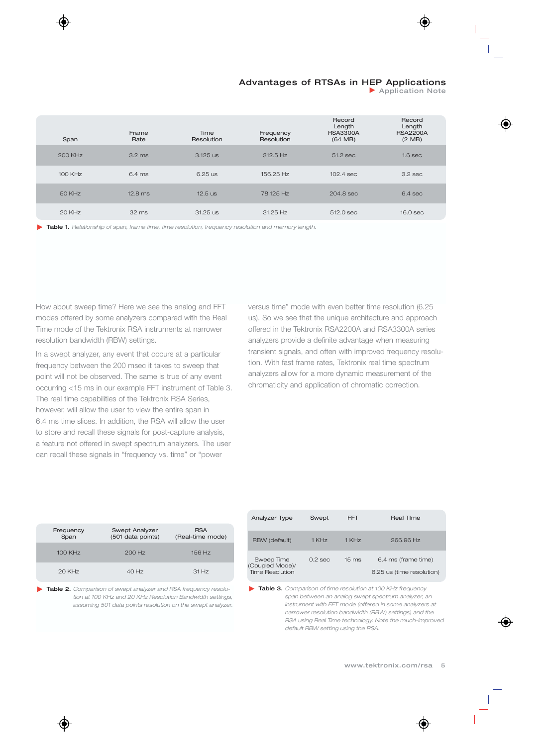**Application Note** 

| Span           | Frame<br>Rate    | Time<br>Resolution | Frequency<br>Resolution | Record<br>Length<br><b>RSA3300A</b><br>(64 MB) | Record<br>Length<br><b>RSA2200A</b><br>$(2 \text{ MB})$ |
|----------------|------------------|--------------------|-------------------------|------------------------------------------------|---------------------------------------------------------|
| <b>200 KHz</b> | $3.2 \text{ ms}$ | $3.125$ us         | $312.5$ Hz              | $51.2$ sec                                     | 1.6 <sub>sec</sub>                                      |
| 100 KHz        | $6.4 \text{ ms}$ | $6.25$ us          | 156.25 Hz               | $102.4$ sec                                    | $3.2$ sec                                               |
| 50 KHz         | $12.8$ ms        | $12.5$ us          | 78.125 Hz               | $204.8$ sec                                    | $6.4$ sec                                               |
| $20$ KHz       | 32 ms            | 31.25 us           | $31.25$ Hz              | 512.0 sec                                      | $16.0$ sec                                              |

Table 1. *Relationship of span, frame time, time resolution, frequency resolution and memory length.*

How about sweep time? Here we see the analog and FFT modes offered by some analyzers compared with the Real Time mode of the Tektronix RSA instruments at narrower resolution bandwidth (RBW) settings.

In a swept analyzer, any event that occurs at a particular frequency between the 200 msec it takes to sweep that point will not be observed. The same is true of any event occurring <15 ms in our example FFT instrument of Table 3. The real time capabilities of the Tektronix RSA Series, however, will allow the user to view the entire span in 6.4 ms time slices. In addition, the RSA will allow the user to store and recall these signals for post-capture analysis, a feature not offered in swept spectrum analyzers. The user can recall these signals in "frequency vs. time" or "power

versus time" mode with even better time resolution (6.25 us). So we see that the unique architecture and approach offered in the Tektronix RSA2200A and RSA3300A series analyzers provide a definite advantage when measuring transient signals, and often with improved frequency resolution. With fast frame rates, Tektronix real time spectrum analyzers allow for a more dynamic measurement of the chromaticity and application of chromatic correction.

| Frequency<br>Span | Swept Analyzer<br>(501 data points) | <b>RSA</b><br>(Real-time mode) |
|-------------------|-------------------------------------|--------------------------------|
| 100 KHz           | $200$ Hz                            | $156$ Hz                       |
| $20$ KHz          | $40$ Hz                             | 31 Hz                          |

Table 2. *Comparison of swept analyzer and RSA frequency resolution at 100 KHz and 20 KHz Resolution Bandwidth settings, assuming 501 data points resolution on the swept analyzer.*

| Analyzer Type                                           | Swept               | FFT                 | <b>Real Time</b>                                 |
|---------------------------------------------------------|---------------------|---------------------|--------------------------------------------------|
| RBW (default)                                           | $1$ KH <sub>7</sub> | $1$ KH <sub>7</sub> | $266.96$ Hz                                      |
| Sweep Time<br>(Coupled Mode)/<br><b>Time Resolution</b> | $0.2$ sec           | $15 \text{ ms}$     | 6.4 ms (frame time)<br>6.25 us (time resolution) |

Table 3. *Comparison of time resolution at 100 KHz frequency span between an analog swept spectrum analyzer, an instrument with FFT mode (offered in some analyzers at narrower resolution bandwidth (RBW) settings) and the RSA using Real Time technology. Note the much-improved default RBW setting using the RSA.*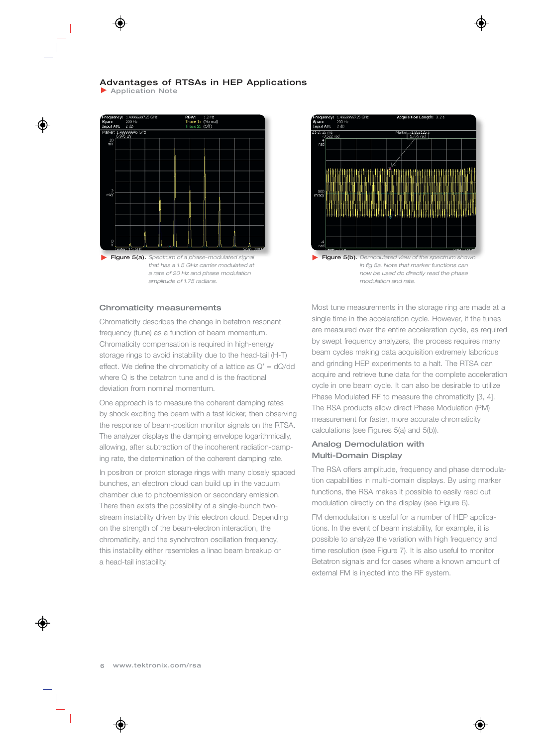**Application Note** 



Figure 5(a). *Spectrum of a phase-modulated signal that has a 1.5 GHz carrier modulated at a rate of 20 Hz and phase modulation amplitude of 1.75 radians.*

#### Chromaticity measurements

Chromaticity describes the change in betatron resonant frequency (tune) as a function of beam momentum. Chromaticity compensation is required in high-energy storage rings to avoid instability due to the head-tail (H-T) effect. We define the chromaticity of a lattice as  $Q' = dQ/dd$ where Q is the betatron tune and d is the fractional deviation from nominal momentum.

One approach is to measure the coherent damping rates by shock exciting the beam with a fast kicker, then observing the response of beam-position monitor signals on the RTSA. The analyzer displays the damping envelope logarithmically, allowing, after subtraction of the incoherent radiation-damping rate, the determination of the coherent damping rate.

In positron or proton storage rings with many closely spaced bunches, an electron cloud can build up in the vacuum chamber due to photoemission or secondary emission. There then exists the possibility of a single-bunch twostream instability driven by this electron cloud. Depending on the strength of the beam-electron interaction, the chromaticity, and the synchrotron oscillation frequency, this instability either resembles a linac beam breakup or a head-tail instability.



*in fig 5a. Note that marker functions can now be used do directly read the phase modulation and rate.*

Most tune measurements in the storage ring are made at a single time in the acceleration cycle. However, if the tunes are measured over the entire acceleration cycle, as required by swept frequency analyzers, the process requires many beam cycles making data acquisition extremely laborious and grinding HEP experiments to a halt. The RTSA can acquire and retrieve tune data for the complete acceleration cycle in one beam cycle. It can also be desirable to utilize Phase Modulated RF to measure the chromaticity [3, 4]. The RSA products allow direct Phase Modulation (PM) measurement for faster, more accurate chromaticity calculations (see Figures 5(a) and 5(b)).

#### Analog Demodulation with Multi-Domain Display

The RSA offers amplitude, frequency and phase demodulation capabilities in multi-domain displays. By using marker functions, the RSA makes it possible to easily read out modulation directly on the display (see Figure 6).

FM demodulation is useful for a number of HEP applications. In the event of beam instability, for example, it is possible to analyze the variation with high frequency and time resolution (see Figure 7). It is also useful to monitor Betatron signals and for cases where a known amount of external FM is injected into the RF system.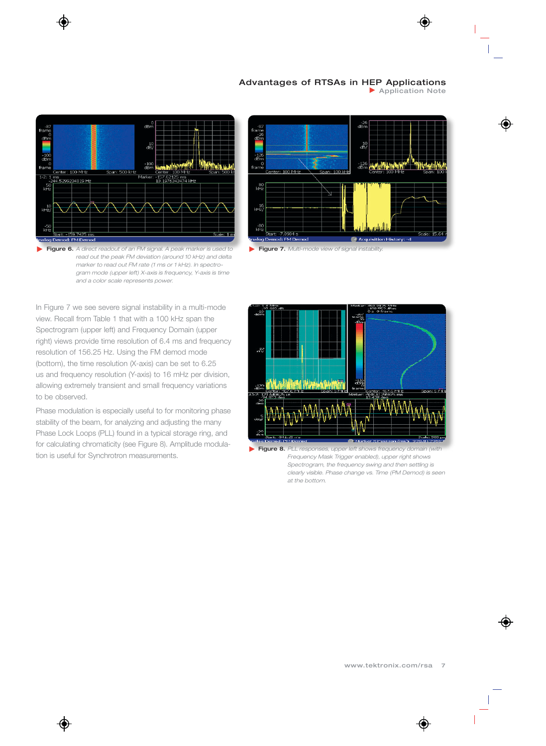

0<br>dBm  $\rm{d}^{10}_{\rm B}$  $\frac{-100}{dBn}$ **Linkin** enter: 100 MHz Span: 500 kHz  $100$  MH Marker ms<br>2<mark>44.5299234819 Hz</mark>  $\frac{1}{10}$ 57.62125 ms<br>I.1976343474 kHz  $kHz$  $kHz/$  $kHz$  $9.7425 \text{ m}$ alog De mod: FM Den

Figure 6. *A direct readout of an FM signal. A peak marker is used to read out the peak FM deviation (around 10 kHz) and delta marker to read out FM rate (1 ms or 1 kHz). In spectrogram mode (upper left) X-axis is frequency, Y-axis is time and a color scale represents power.*



Figure 7. *Multi-mode view of signal instability.*

In Figure 7 we see severe signal instability in a multi-mode view. Recall from Table 1 that with a 100 kHz span the Spectrogram (upper left) and Frequency Domain (upper right) views provide time resolution of 6.4 ms and frequency resolution of 156.25 Hz. Using the FM demod mode (bottom), the time resolution (X-axis) can be set to 6.25 us and frequency resolution (Y-axis) to 16 mHz per division, allowing extremely transient and small frequency variations to be observed.

Phase modulation is especially useful to for monitoring phase stability of the beam, for analyzing and adjusting the many Phase Lock Loops (PLL) found in a typical storage ring, and for calculating chromaticity (see Figure 8). Amplitude modulation is useful for Synchrotron measurements.



**Figure 8.** PLL responses, upper left shows frequency domain (with *Frequency Mask Trigger enabled), upper right shows Spectrogram, the frequency swing and then settling is clearly visible. Phase change vs. Time (PM Demod) is seen at the bottom.*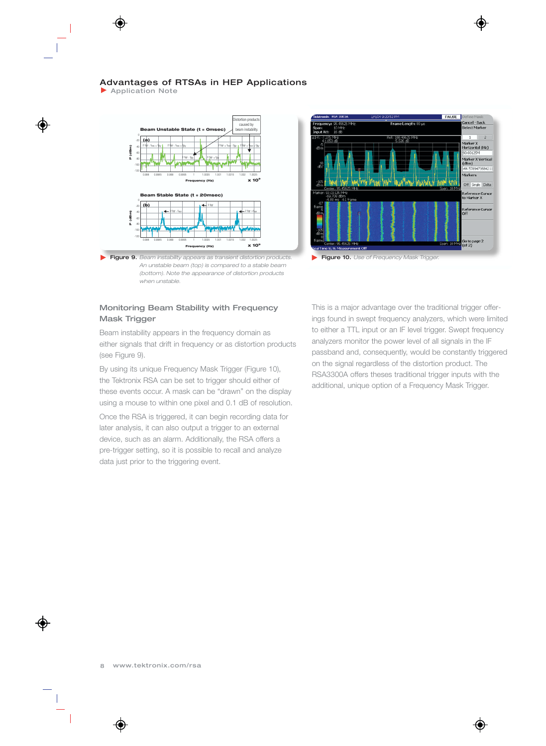▶ Application Note



Figure 9. *Beam instability appears as transient distortion products. An unstable beam (top) is compared to a stable beam (bottom). Note the appearance of distortion products when unstable.*

## Monitoring Beam Stability with Frequency Mask Trigger

Beam instability appears in the frequency domain as either signals that drift in frequency or as distortion products (see Figure 9).

By using its unique Frequency Mask Trigger (Figure 10), the Tektronix RSA can be set to trigger should either of these events occur. A mask can be "drawn" on the display using a mouse to within one pixel and 0.1 dB of resolution.

Once the RSA is triggered, it can begin recording data for later analysis, it can also output a trigger to an external device, such as an alarm. Additionally, the RSA offers a pre-trigger setting, so it is possible to recall and analyze data just prior to the triggering event.



Figure 10. *Use of Frequency Mask Trigger.*

This is a major advantage over the traditional trigger offerings found in swept frequency analyzers, which were limited to either a TTL input or an IF level trigger. Swept frequency analyzers monitor the power level of all signals in the IF passband and, consequently, would be constantly triggered on the signal regardless of the distortion product. The RSA3300A offers theses traditional trigger inputs with the additional, unique option of a Frequency Mask Trigger.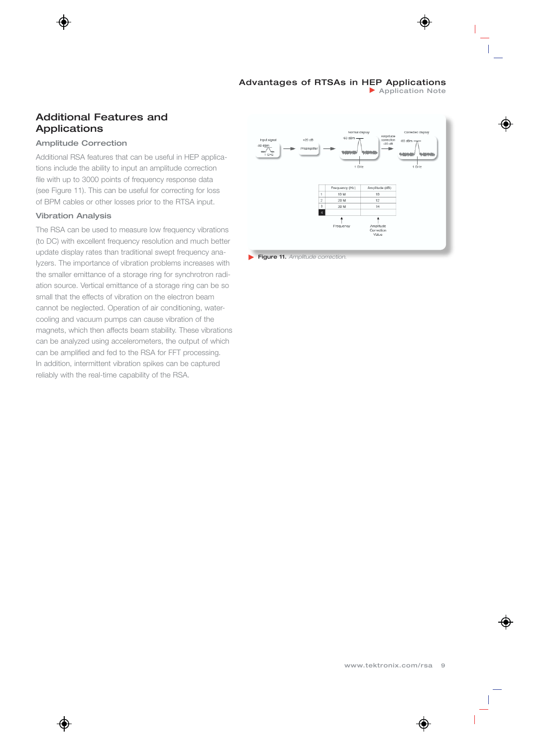**Application Note** 

## Additional Features and Applications

#### Amplitude Correction

Additional RSA features that can be useful in HEP applications include the ability to input an amplitude correction file with up to 3000 points of frequency response data (see Figure 11). This can be useful for correcting for loss of BPM cables or other losses prior to the RTSA input.

#### Vibration Analysis

The RSA can be used to measure low frequency vibrations (to DC) with excellent frequency resolution and much better update display rates than traditional swept frequency analyzers. The importance of vibration problems increases with the smaller emittance of a storage ring for synchrotron radiation source. Vertical emittance of a storage ring can be so small that the effects of vibration on the electron beam cannot be neglected. Operation of air conditioning, watercooling and vacuum pumps can cause vibration of the magnets, which then affects beam stability. These vibrations can be analyzed using accelerometers, the output of which can be amplified and fed to the RSA for FFT processing. In addition, intermittent vibration spikes can be captured reliably with the real-time capability of the RSA.



Figure 11. *Amplitude correction.*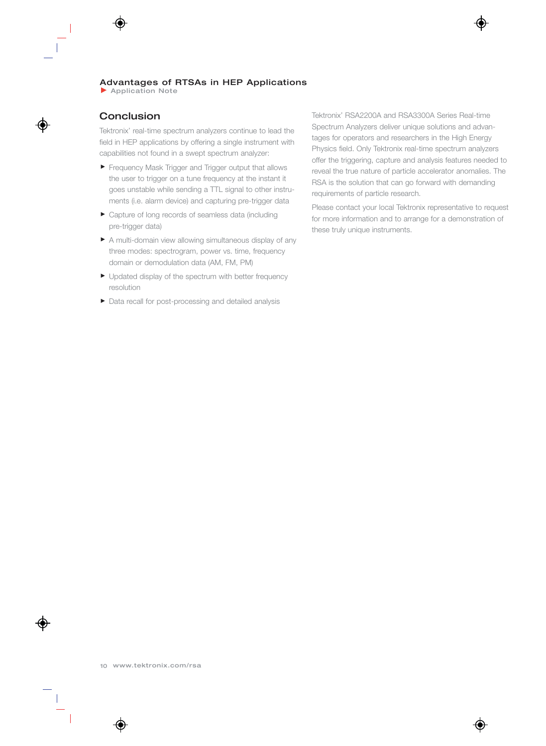**Application Note** 

# Conclusion

Tektronix' real-time spectrum analyzers continue to lead the field in HEP applications by offering a single instrument with capabilities not found in a swept spectrum analyzer:

- **Firequency Mask Trigger and Trigger output that allows** the user to trigger on a tune frequency at the instant it goes unstable while sending a TTL signal to other instruments (i.e. alarm device) and capturing pre-trigger data
- Capture of long records of seamless data (including pre-trigger data)
- A multi-domain view allowing simultaneous display of any three modes: spectrogram, power vs. time, frequency domain or demodulation data (AM, FM, PM)
- Updated display of the spectrum with better frequency resolution
- Data recall for post-processing and detailed analysis

Tektronix' RSA2200A and RSA3300A Series Real-time Spectrum Analyzers deliver unique solutions and advantages for operators and researchers in the High Energy Physics field. Only Tektronix real-time spectrum analyzers offer the triggering, capture and analysis features needed to reveal the true nature of particle accelerator anomalies. The RSA is the solution that can go forward with demanding requirements of particle research.

Please contact your local Tektronix representative to request for more information and to arrange for a demonstration of these truly unique instruments.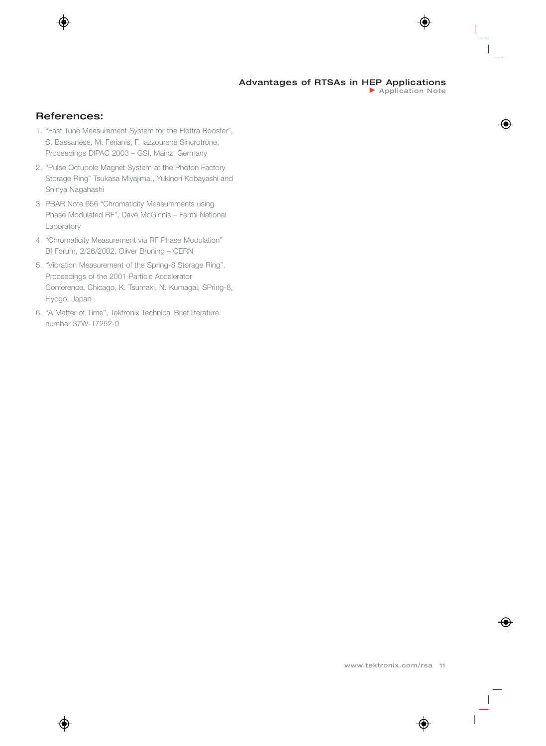# References:

- 1. "Fast Tune Measurement System for the Elettra Booster", S. Bassanese, M. Ferianis, F. Iazzourene Sincrotrone, Proceedings DIPAC 2003 – GSI, Mainz, Germany
- 2. "Pulse Octupole Magnet System at the Photon Factory Storage Ring" Tsukasa Miyajima., Yukinori Kobayashi and Shinya Nagahashi
- 3. PBAR Note 656 "Chromaticity Measurements using Phase Modulated RF", Dave McGinnis – Fermi National Laboratory
- 4. "Chromaticity Measurement via RF Phase Modulation" BI Forum, 2/26/2002, Oliver Bruning – CERN
- 5. "Vibration Measurement of the Spring-8 Storage Ring", Proceedings of the 2001 Particle Accelerator Conference, Chicago, K. Tsumaki, N. Kumagai, SPring-8, Hyogo, Japan
- 6. "A Matter of Time", Tektronix Technical Brief literature number 37W-17252-0